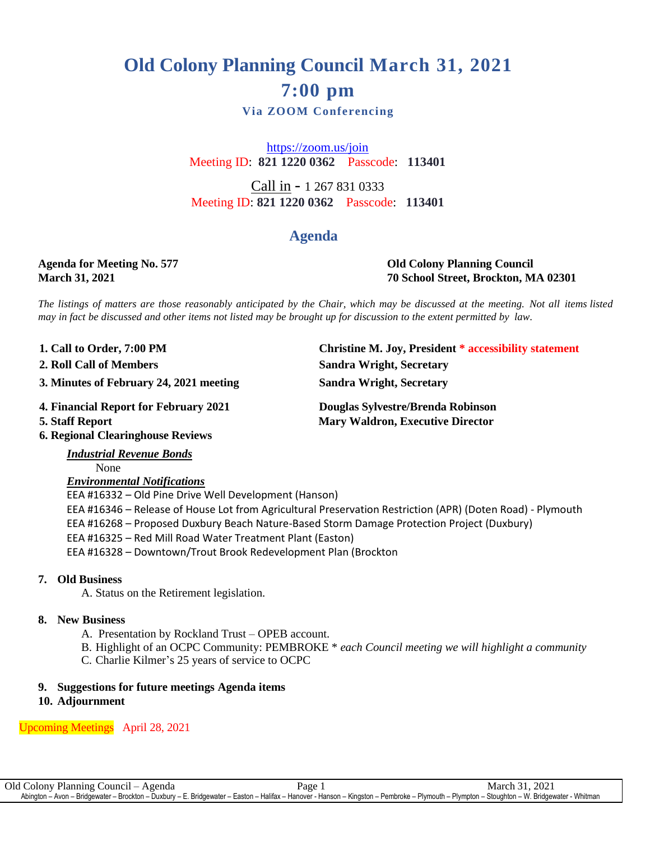## **Old Colony Planning Council March 31, 2021 7:00 pm**

## **Via ZOOM Conferencing**

<https://zoom.us/join> Meeting ID: **821 1220 0362** Passcode: **113401**

Call in - 1 267 831 0333 Meeting ID: **821 1220 0362** Passcode: **113401**

## **Agenda**

# **Agenda for Meeting No. 577 Old Colony Planning Council**

**March 31, 2021 70 School Street, Brockton, MA 02301**

**1. Christine M. Joy, President \* accessibility statement** 

The listings of matters are those reasonably anticipated by the Chair, which may be discussed at the meeting. Not all items listed may in fact be discussed and other items not listed may be brought up for discussion to the extent permitted by law.

1. Call to Order, 7:00 PM

- **. 2**
- **. 3 3. Minutes of February 24, 2021 meeting Sandra Wright, Secretary**
- 
- **.**

**4 4. Financial Report for February 2021 Douglas Sylvestre/Brenda Robinson Mary Waldron, Executive Director** 

**2. Roll Call of Members Sandra Wright, Secretary**

**6. Regional Clearinghouse Reviews**

*Industrial Revenue Bonds*

None *Environmental Notifications*

 EEA #16332 – Old Pine Drive Well Development (Hanson) EEA #16346 – Release of House Lot from Agricultural Preservation Restriction (APR) (Doten Road) - Plymouth EEA #16268 – Proposed Duxbury Beach Nature-Based Storm Damage Protection Project (Duxbury) EEA #16325 – Red Mill Road Water Treatment Plant (Easton) EEA #16328 – Downtown/Trout Brook Redevelopment Plan (Brockton

#### **7. Old Business**

A. Status on the Retirement legislation.

#### **8. New Business**

- A. Presentation by Rockland Trust OPEB account.
- B. Highlight of an OCPC Community: PEMBROKE \* *each Council meeting we will highlight a community*
- C. Charlie Kilmer's 25 years of service to OCPC

#### **9. Suggestions for future meetings Agenda items**

**10. Adjournment**

Upcoming Meetings April 28, 2021

Old Colony Planning Council – Agenda Page 1 March 31, 2021 Abington – Avon – Bridgewater – Brockton – Duxbury – E. Bridgewater – Easton – Halifax – Hanover - Hanson – Kingston – Pembroke – Plymouth – Plympton – Stoughton – W. Bridgewater - Whitman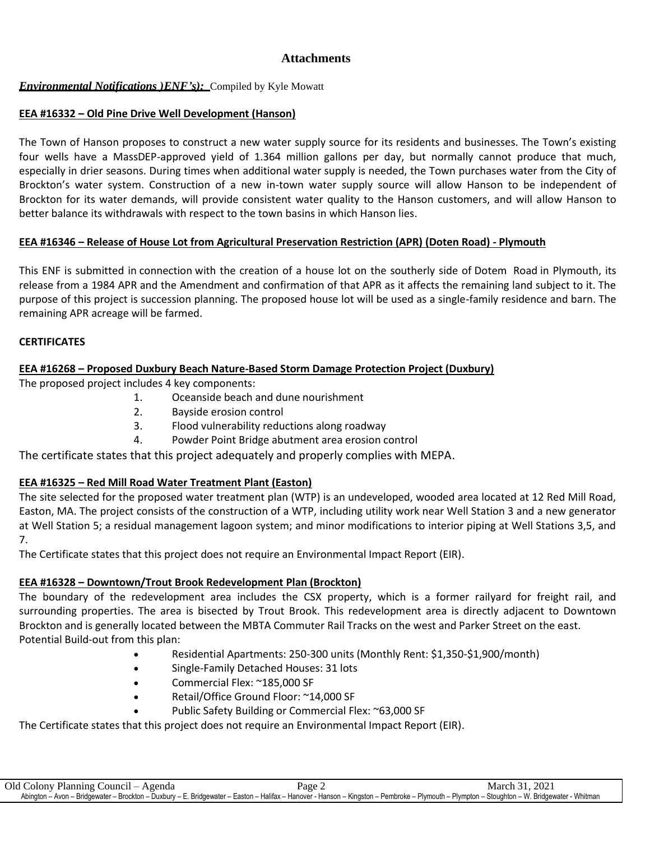## **Attachments**

#### *Environmental Notifications )ENF's):* Compiled by Kyle Mowatt

#### **EEA #16332 – Old Pine Drive Well Development (Hanson)**

The Town of Hanson proposes to construct a new water supply source for its residents and businesses. The Town's existing four wells have a MassDEP-approved yield of 1.364 million gallons per day, but normally cannot produce that much, especially in drier seasons. During times when additional water supply is needed, the Town purchases water from the City of Brockton's water system. Construction of a new in-town water supply source will allow Hanson to be independent of Brockton for its water demands, will provide consistent water quality to the Hanson customers, and will allow Hanson to better balance its withdrawals with respect to the town basins in which Hanson lies.

## **EEA #16346 – Release of House Lot from Agricultural Preservation Restriction (APR) (Doten Road) - Plymouth**

This ENF is submitted in connection with the creation of a house lot on the southerly side of Dotem  Road in Plymouth, its release from a 1984 APR and the Amendment and confirmation of that APR as it affects the remaining land subject to it. The purpose of this project is succession planning. The proposed house lot will be used as a single-family residence and barn. The remaining APR acreage will be farmed.

#### **CERTIFICATES**

#### **EEA #16268 – Proposed Duxbury Beach Nature-Based Storm Damage Protection Project (Duxbury)**

The proposed project includes 4 key components:

- 1. Oceanside beach and dune nourishment
- 2. Bayside erosion control
- 3. Flood vulnerability reductions along roadway
- 4. Powder Point Bridge abutment area erosion control

The certificate states that this project adequately and properly complies with MEPA.

## **EEA #16325 – Red Mill Road Water Treatment Plant (Easton)**

The site selected for the proposed water treatment plan (WTP) is an undeveloped, wooded area located at 12 Red Mill Road, Easton, MA. The project consists of the construction of a WTP, including utility work near Well Station 3 and a new generator at Well Station 5; a residual management lagoon system; and minor modifications to interior piping at Well Stations 3,5, and 7.

The Certificate states that this project does not require an Environmental Impact Report (EIR).

## **EEA #16328 – Downtown/Trout Brook Redevelopment Plan (Brockton)**

The boundary of the redevelopment area includes the CSX property, which is a former railyard for freight rail, and surrounding properties. The area is bisected by Trout Brook. This redevelopment area is directly adjacent to Downtown Brockton and is generally located between the MBTA Commuter Rail Tracks on the west and Parker Street on the east. Potential Build-out from this plan:

- Residential Apartments: 250-300 units (Monthly Rent: \$1,350-\$1,900/month)
- Single-Family Detached Houses: 31 lots
- Commercial Flex: ~185,000 SF
- Retail/Office Ground Floor: ~14,000 SF
- Public Safety Building or Commercial Flex: ~63,000 SF

The Certificate states that this project does not require an Environmental Impact Report (EIR).